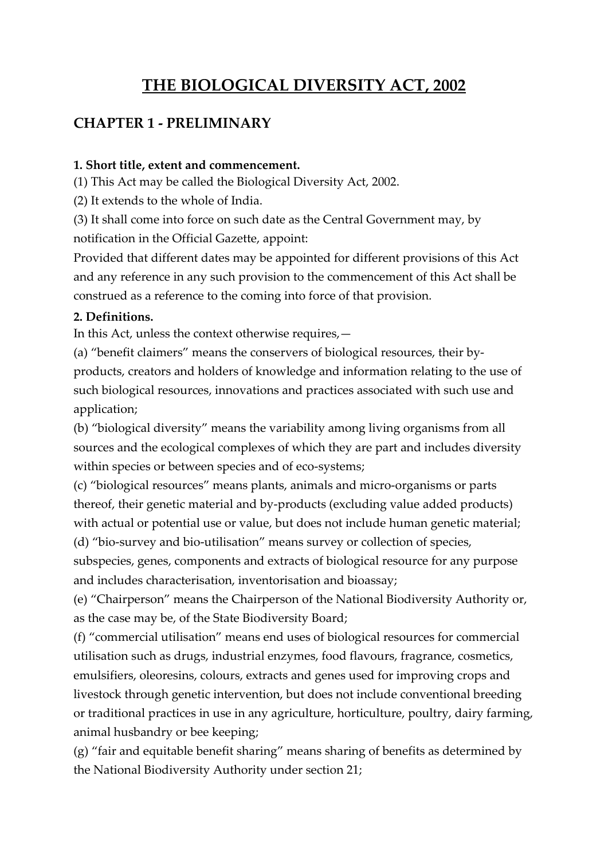# **THE BIOLOGICAL DIVERSITY ACT, 2002**

## **CHAPTER 1 - PRELIMINARY**

#### **1. Short title, extent and commencement.**

(1) This Act may be called the Biological Diversity Act, 2002.

(2) It extends to the whole of India.

(3) It shall come into force on such date as the Central Government may, by notification in the Official Gazette, appoint:

Provided that different dates may be appointed for different provisions of this Act and any reference in any such provision to the commencement of this Act shall be construed as a reference to the coming into force of that provision.

#### **2. Definitions.**

In this Act, unless the context otherwise requires,—

(a) "benefit claimers" means the conservers of biological resources, their byproducts, creators and holders of knowledge and information relating to the use of such biological resources, innovations and practices associated with such use and application;

(b) "biological diversity" means the variability among living organisms from all sources and the ecological complexes of which they are part and includes diversity within species or between species and of eco-systems;

(c) "biological resources" means plants, animals and micro-organisms or parts thereof, their genetic material and by-products (excluding value added products) with actual or potential use or value, but does not include human genetic material;

(d) "bio-survey and bio-utilisation" means survey or collection of species, subspecies, genes, components and extracts of biological resource for any purpose and includes characterisation, inventorisation and bioassay;

(e) "Chairperson" means the Chairperson of the National Biodiversity Authority or, as the case may be, of the State Biodiversity Board;

(f) "commercial utilisation" means end uses of biological resources for commercial utilisation such as drugs, industrial enzymes, food flavours, fragrance, cosmetics, emulsifiers, oleoresins, colours, extracts and genes used for improving crops and livestock through genetic intervention, but does not include conventional breeding or traditional practices in use in any agriculture, horticulture, poultry, dairy farming, animal husbandry or bee keeping;

(g) "fair and equitable benefit sharing" means sharing of benefits as determined by the National Biodiversity Authority under section 21;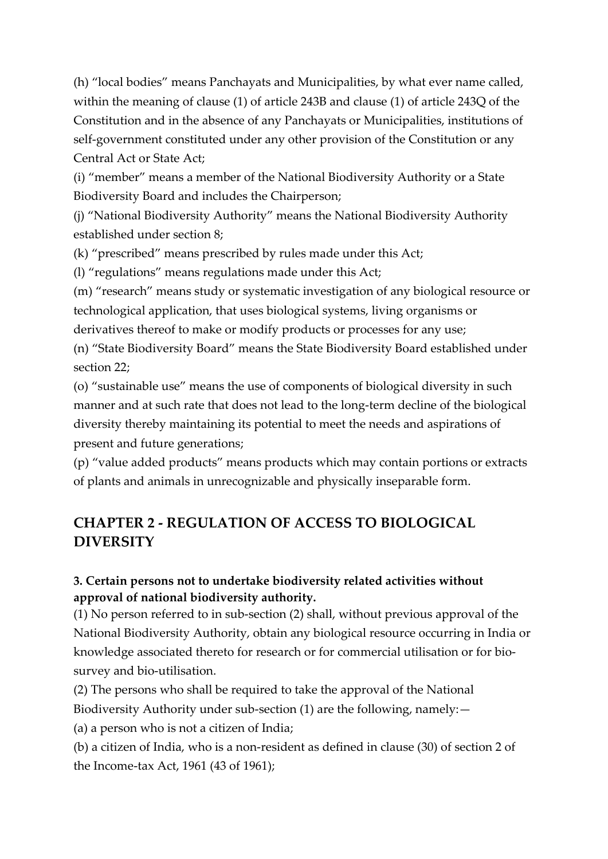(h) "local bodies" means Panchayats and Municipalities, by what ever name called, within the meaning of clause (1) of article 243B and clause (1) of article 243Q of the Constitution and in the absence of any Panchayats or Municipalities, institutions of self-government constituted under any other provision of the Constitution or any Central Act or State Act;

(i) "member" means a member of the National Biodiversity Authority or a State Biodiversity Board and includes the Chairperson;

(j) "National Biodiversity Authority" means the National Biodiversity Authority established under section 8;

(k) "prescribed" means prescribed by rules made under this Act;

(l) "regulations" means regulations made under this Act;

(m) "research" means study or systematic investigation of any biological resource or technological application, that uses biological systems, living organisms or derivatives thereof to make or modify products or processes for any use;

(n) "State Biodiversity Board" means the State Biodiversity Board established under section 22;

(o) "sustainable use" means the use of components of biological diversity in such manner and at such rate that does not lead to the long-term decline of the biological diversity thereby maintaining its potential to meet the needs and aspirations of present and future generations;

(p) "value added products" means products which may contain portions or extracts of plants and animals in unrecognizable and physically inseparable form.

# **CHAPTER 2 - REGULATION OF ACCESS TO BIOLOGICAL DIVERSITY**

## **3. Certain persons not to undertake biodiversity related activities without approval of national biodiversity authority.**

(1) No person referred to in sub-section (2) shall, without previous approval of the National Biodiversity Authority, obtain any biological resource occurring in India or knowledge associated thereto for research or for commercial utilisation or for biosurvey and bio-utilisation.

(2) The persons who shall be required to take the approval of the National Biodiversity Authority under sub-section (1) are the following, namely:—

(a) a person who is not a citizen of India;

(b) a citizen of India, who is a non-resident as defined in clause (30) of section 2 of the Income-tax Act, 1961 (43 of 1961);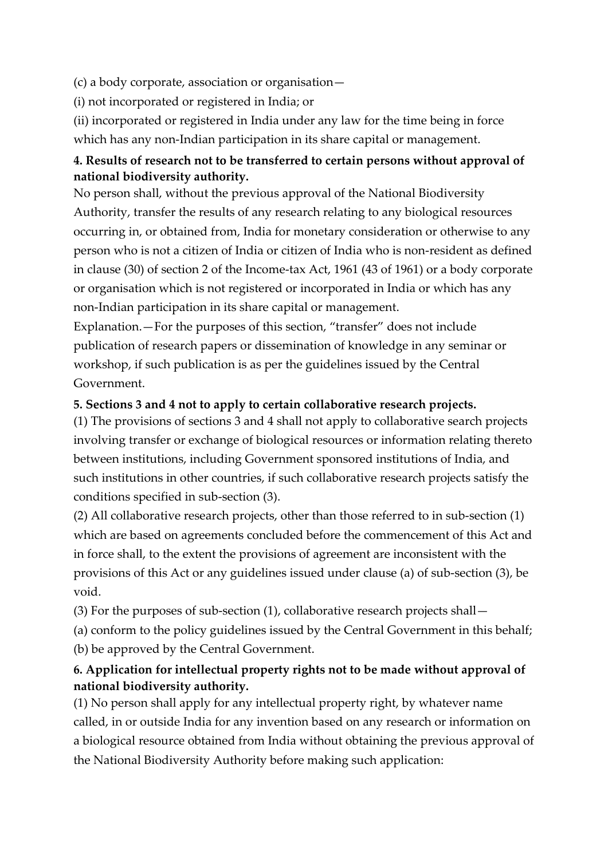(c) a body corporate, association or organisation—

(i) not incorporated or registered in India; or

(ii) incorporated or registered in India under any law for the time being in force

which has any non-Indian participation in its share capital or management.

## **4. Results of research not to be transferred to certain persons without approval of national biodiversity authority.**

No person shall, without the previous approval of the National Biodiversity Authority, transfer the results of any research relating to any biological resources occurring in, or obtained from, India for monetary consideration or otherwise to any person who is not a citizen of India or citizen of India who is non-resident as defined in clause (30) of section 2 of the Income-tax Act, 1961 (43 of 1961) or a body corporate or organisation which is not registered or incorporated in India or which has any non-Indian participation in its share capital or management.

Explanation.—For the purposes of this section, "transfer" does not include publication of research papers or dissemination of knowledge in any seminar or workshop, if such publication is as per the guidelines issued by the Central Government.

## **5. Sections 3 and 4 not to apply to certain collaborative research projects.**

(1) The provisions of sections 3 and 4 shall not apply to collaborative search projects involving transfer or exchange of biological resources or information relating thereto between institutions, including Government sponsored institutions of India, and such institutions in other countries, if such collaborative research projects satisfy the conditions specified in sub-section (3).

(2) All collaborative research projects, other than those referred to in sub-section (1) which are based on agreements concluded before the commencement of this Act and in force shall, to the extent the provisions of agreement are inconsistent with the provisions of this Act or any guidelines issued under clause (a) of sub-section (3), be void.

(3) For the purposes of sub-section (1), collaborative research projects shall—

(a) conform to the policy guidelines issued by the Central Government in this behalf; (b) be approved by the Central Government.

## **6. Application for intellectual property rights not to be made without approval of national biodiversity authority.**

(1) No person shall apply for any intellectual property right, by whatever name called, in or outside India for any invention based on any research or information on a biological resource obtained from India without obtaining the previous approval of the National Biodiversity Authority before making such application: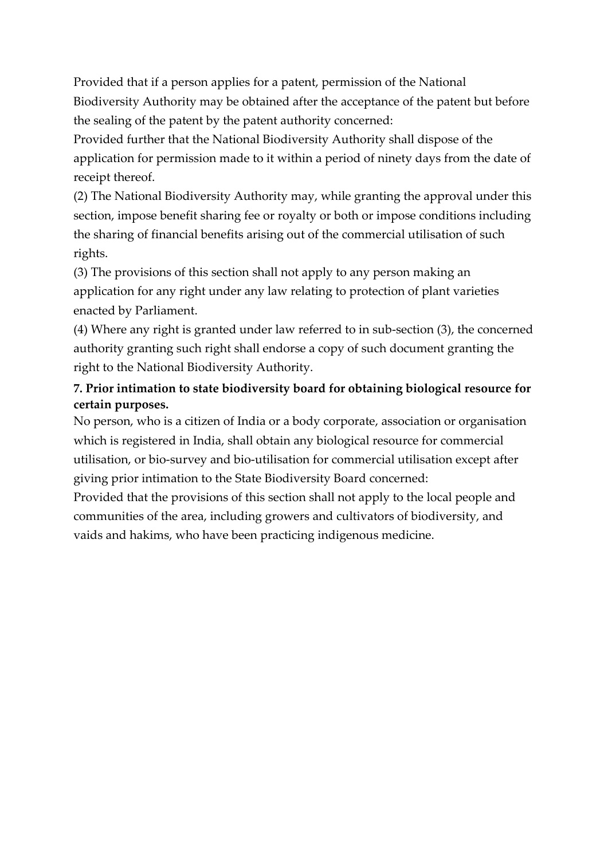Provided that if a person applies for a patent, permission of the National Biodiversity Authority may be obtained after the acceptance of the patent but before the sealing of the patent by the patent authority concerned:

Provided further that the National Biodiversity Authority shall dispose of the application for permission made to it within a period of ninety days from the date of receipt thereof.

(2) The National Biodiversity Authority may, while granting the approval under this section, impose benefit sharing fee or royalty or both or impose conditions including the sharing of financial benefits arising out of the commercial utilisation of such rights.

(3) The provisions of this section shall not apply to any person making an application for any right under any law relating to protection of plant varieties enacted by Parliament.

(4) Where any right is granted under law referred to in sub-section (3), the concerned authority granting such right shall endorse a copy of such document granting the right to the National Biodiversity Authority.

## **7. Prior intimation to state biodiversity board for obtaining biological resource for certain purposes.**

No person, who is a citizen of India or a body corporate, association or organisation which is registered in India, shall obtain any biological resource for commercial utilisation, or bio-survey and bio-utilisation for commercial utilisation except after giving prior intimation to the State Biodiversity Board concerned:

Provided that the provisions of this section shall not apply to the local people and communities of the area, including growers and cultivators of biodiversity, and vaids and hakims, who have been practicing indigenous medicine.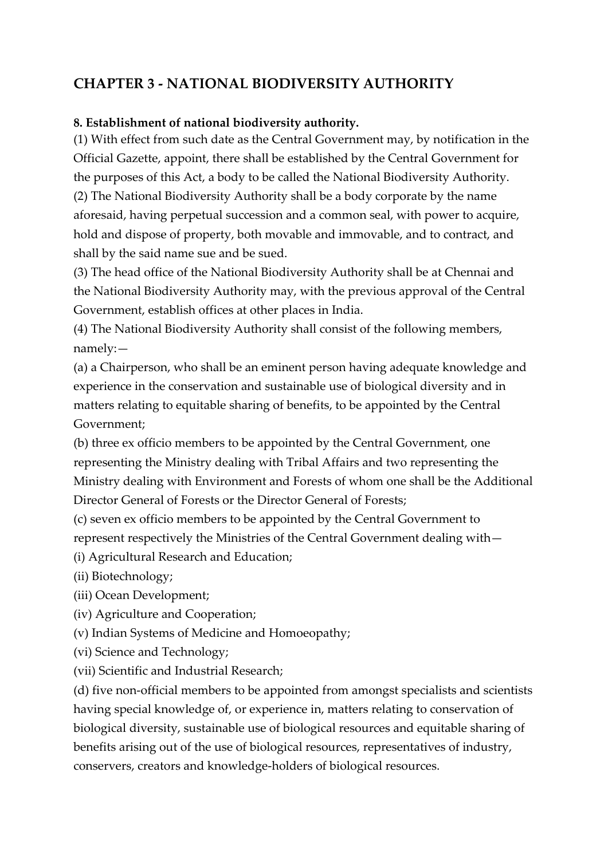## **CHAPTER 3 - NATIONAL BIODIVERSITY AUTHORITY**

#### **8. Establishment of national biodiversity authority.**

(1) With effect from such date as the Central Government may, by notification in the Official Gazette, appoint, there shall be established by the Central Government for the purposes of this Act, a body to be called the National Biodiversity Authority. (2) The National Biodiversity Authority shall be a body corporate by the name aforesaid, having perpetual succession and a common seal, with power to acquire, hold and dispose of property, both movable and immovable, and to contract, and shall by the said name sue and be sued.

(3) The head office of the National Biodiversity Authority shall be at Chennai and the National Biodiversity Authority may, with the previous approval of the Central Government, establish offices at other places in India.

(4) The National Biodiversity Authority shall consist of the following members, namely:—

(a) a Chairperson, who shall be an eminent person having adequate knowledge and experience in the conservation and sustainable use of biological diversity and in matters relating to equitable sharing of benefits, to be appointed by the Central Government;

(b) three ex officio members to be appointed by the Central Government, one representing the Ministry dealing with Tribal Affairs and two representing the Ministry dealing with Environment and Forests of whom one shall be the Additional Director General of Forests or the Director General of Forests;

(c) seven ex officio members to be appointed by the Central Government to represent respectively the Ministries of the Central Government dealing with—

(i) Agricultural Research and Education;

(ii) Biotechnology;

(iii) Ocean Development;

(iv) Agriculture and Cooperation;

(v) Indian Systems of Medicine and Homoeopathy;

(vi) Science and Technology;

(vii) Scientific and Industrial Research;

(d) five non-official members to be appointed from amongst specialists and scientists having special knowledge of, or experience in, matters relating to conservation of biological diversity, sustainable use of biological resources and equitable sharing of benefits arising out of the use of biological resources, representatives of industry, conservers, creators and knowledge-holders of biological resources.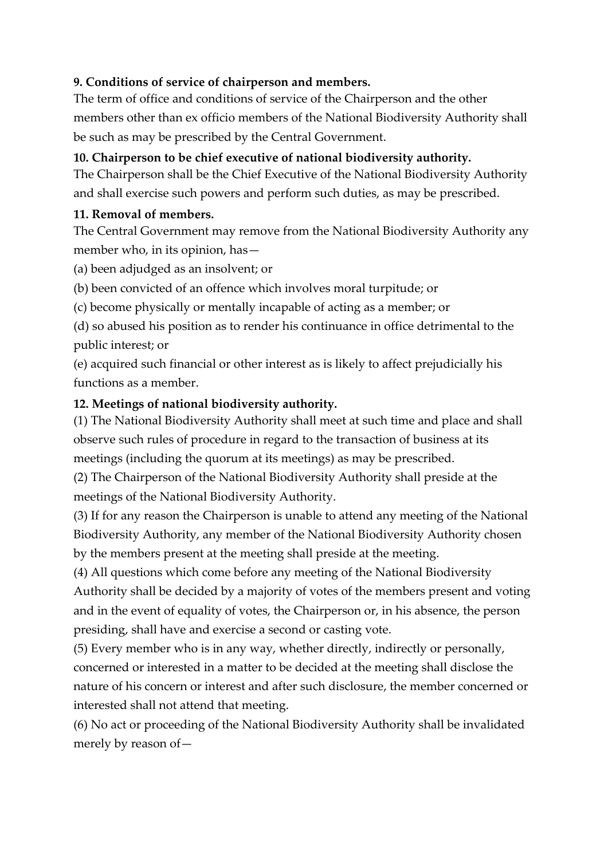### **9. Conditions of service of chairperson and members.**

The term of office and conditions of service of the Chairperson and the other members other than ex officio members of the National Biodiversity Authority shall be such as may be prescribed by the Central Government.

#### **10. Chairperson to be chief executive of national biodiversity authority.**

The Chairperson shall be the Chief Executive of the National Biodiversity Authority and shall exercise such powers and perform such duties, as may be prescribed.

#### **11. Removal of members.**

The Central Government may remove from the National Biodiversity Authority any member who, in its opinion, has—

(a) been adjudged as an insolvent; or

(b) been convicted of an offence which involves moral turpitude; or

(c) become physically or mentally incapable of acting as a member; or

(d) so abused his position as to render his continuance in office detrimental to the public interest; or

(e) acquired such financial or other interest as is likely to affect prejudicially his functions as a member.

#### **12. Meetings of national biodiversity authority.**

(1) The National Biodiversity Authority shall meet at such time and place and shall observe such rules of procedure in regard to the transaction of business at its meetings (including the quorum at its meetings) as may be prescribed.

(2) The Chairperson of the National Biodiversity Authority shall preside at the meetings of the National Biodiversity Authority.

(3) If for any reason the Chairperson is unable to attend any meeting of the National Biodiversity Authority, any member of the National Biodiversity Authority chosen by the members present at the meeting shall preside at the meeting.

(4) All questions which come before any meeting of the National Biodiversity Authority shall be decided by a majority of votes of the members present and voting and in the event of equality of votes, the Chairperson or, in his absence, the person presiding, shall have and exercise a second or casting vote.

(5) Every member who is in any way, whether directly, indirectly or personally, concerned or interested in a matter to be decided at the meeting shall disclose the nature of his concern or interest and after such disclosure, the member concerned or interested shall not attend that meeting.

(6) No act or proceeding of the National Biodiversity Authority shall be invalidated merely by reason of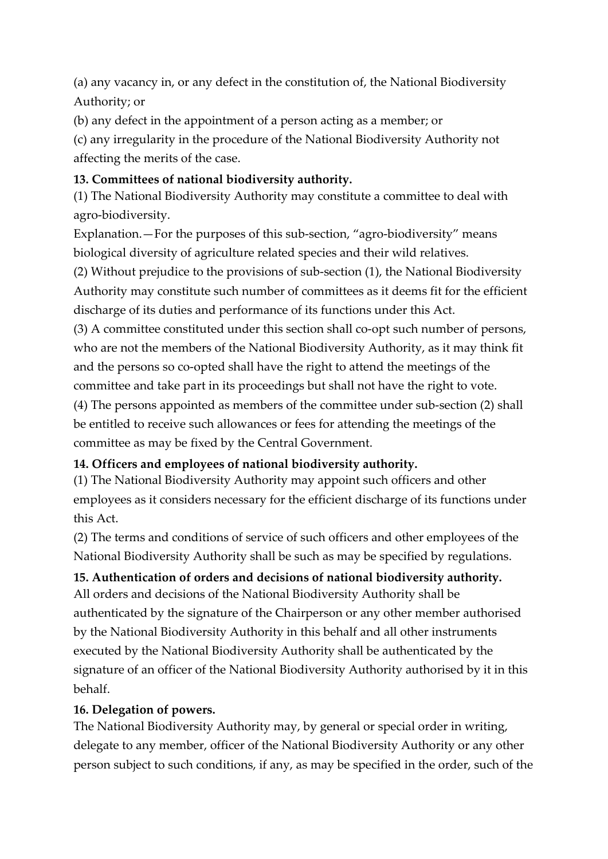(a) any vacancy in, or any defect in the constitution of, the National Biodiversity Authority; or

(b) any defect in the appointment of a person acting as a member; or

(c) any irregularity in the procedure of the National Biodiversity Authority not affecting the merits of the case.

## **13. Committees of national biodiversity authority.**

(1) The National Biodiversity Authority may constitute a committee to deal with agro-biodiversity.

Explanation.—For the purposes of this sub-section, "agro-biodiversity" means biological diversity of agriculture related species and their wild relatives.

(2) Without prejudice to the provisions of sub-section (1), the National Biodiversity Authority may constitute such number of committees as it deems fit for the efficient discharge of its duties and performance of its functions under this Act.

(3) A committee constituted under this section shall co-opt such number of persons, who are not the members of the National Biodiversity Authority, as it may think fit and the persons so co-opted shall have the right to attend the meetings of the committee and take part in its proceedings but shall not have the right to vote.

(4) The persons appointed as members of the committee under sub-section (2) shall be entitled to receive such allowances or fees for attending the meetings of the committee as may be fixed by the Central Government.

## **14. Officers and employees of national biodiversity authority.**

(1) The National Biodiversity Authority may appoint such officers and other employees as it considers necessary for the efficient discharge of its functions under this Act.

(2) The terms and conditions of service of such officers and other employees of the National Biodiversity Authority shall be such as may be specified by regulations.

## **15. Authentication of orders and decisions of national biodiversity authority.**

All orders and decisions of the National Biodiversity Authority shall be authenticated by the signature of the Chairperson or any other member authorised by the National Biodiversity Authority in this behalf and all other instruments executed by the National Biodiversity Authority shall be authenticated by the signature of an officer of the National Biodiversity Authority authorised by it in this behalf.

## **16. Delegation of powers.**

The National Biodiversity Authority may, by general or special order in writing, delegate to any member, officer of the National Biodiversity Authority or any other person subject to such conditions, if any, as may be specified in the order, such of the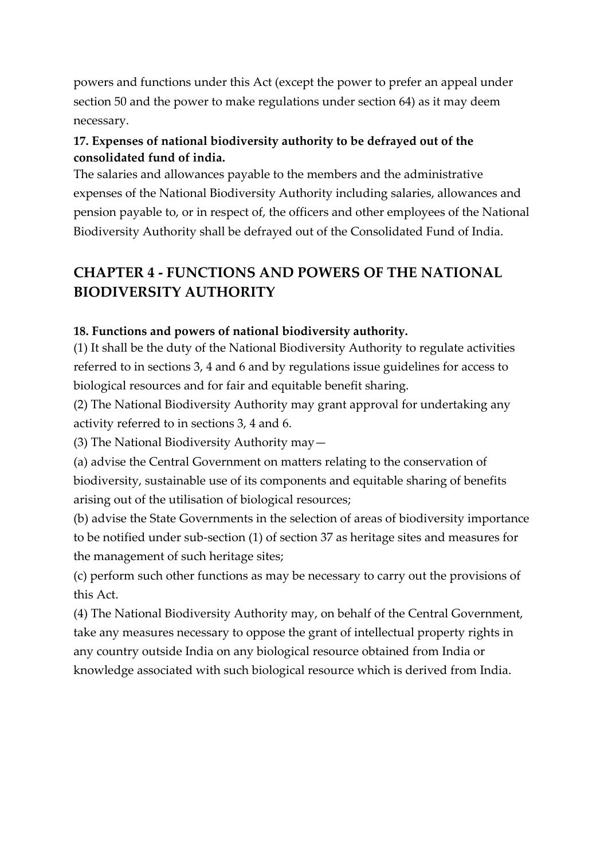powers and functions under this Act (except the power to prefer an appeal under section 50 and the power to make regulations under section 64) as it may deem necessary.

### **17. Expenses of national biodiversity authority to be defrayed out of the consolidated fund of india.**

The salaries and allowances payable to the members and the administrative expenses of the National Biodiversity Authority including salaries, allowances and pension payable to, or in respect of, the officers and other employees of the National Biodiversity Authority shall be defrayed out of the Consolidated Fund of India.

# **CHAPTER 4 - FUNCTIONS AND POWERS OF THE NATIONAL BIODIVERSITY AUTHORITY**

#### **18. Functions and powers of national biodiversity authority.**

(1) It shall be the duty of the National Biodiversity Authority to regulate activities referred to in sections 3, 4 and 6 and by regulations issue guidelines for access to biological resources and for fair and equitable benefit sharing.

(2) The National Biodiversity Authority may grant approval for undertaking any activity referred to in sections 3, 4 and 6.

(3) The National Biodiversity Authority may—

(a) advise the Central Government on matters relating to the conservation of biodiversity, sustainable use of its components and equitable sharing of benefits arising out of the utilisation of biological resources;

(b) advise the State Governments in the selection of areas of biodiversity importance to be notified under sub-section (1) of section 37 as heritage sites and measures for the management of such heritage sites;

(c) perform such other functions as may be necessary to carry out the provisions of this Act.

(4) The National Biodiversity Authority may, on behalf of the Central Government, take any measures necessary to oppose the grant of intellectual property rights in any country outside India on any biological resource obtained from India or knowledge associated with such biological resource which is derived from India.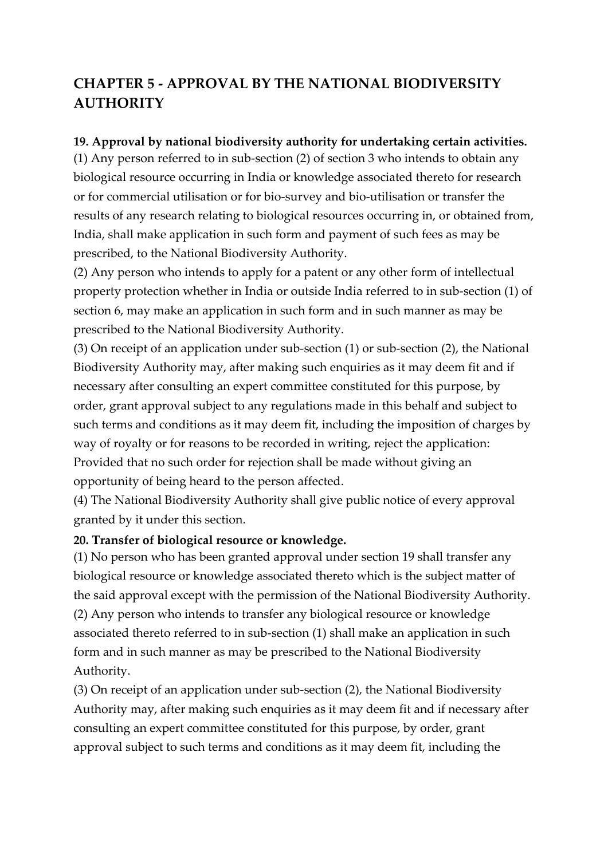# **CHAPTER 5 - APPROVAL BY THE NATIONAL BIODIVERSITY AUTHORITY**

#### **19. Approval by national biodiversity authority for undertaking certain activities.**

(1) Any person referred to in sub-section (2) of section 3 who intends to obtain any biological resource occurring in India or knowledge associated thereto for research or for commercial utilisation or for bio-survey and bio-utilisation or transfer the results of any research relating to biological resources occurring in, or obtained from, India, shall make application in such form and payment of such fees as may be prescribed, to the National Biodiversity Authority.

(2) Any person who intends to apply for a patent or any other form of intellectual property protection whether in India or outside India referred to in sub-section (1) of section 6, may make an application in such form and in such manner as may be prescribed to the National Biodiversity Authority.

(3) On receipt of an application under sub-section (1) or sub-section (2), the National Biodiversity Authority may, after making such enquiries as it may deem fit and if necessary after consulting an expert committee constituted for this purpose, by order, grant approval subject to any regulations made in this behalf and subject to such terms and conditions as it may deem fit, including the imposition of charges by way of royalty or for reasons to be recorded in writing, reject the application: Provided that no such order for rejection shall be made without giving an opportunity of being heard to the person affected.

(4) The National Biodiversity Authority shall give public notice of every approval granted by it under this section.

#### **20. Transfer of biological resource or knowledge.**

(1) No person who has been granted approval under section 19 shall transfer any biological resource or knowledge associated thereto which is the subject matter of the said approval except with the permission of the National Biodiversity Authority. (2) Any person who intends to transfer any biological resource or knowledge associated thereto referred to in sub-section (1) shall make an application in such form and in such manner as may be prescribed to the National Biodiversity Authority.

(3) On receipt of an application under sub-section (2), the National Biodiversity Authority may, after making such enquiries as it may deem fit and if necessary after consulting an expert committee constituted for this purpose, by order, grant approval subject to such terms and conditions as it may deem fit, including the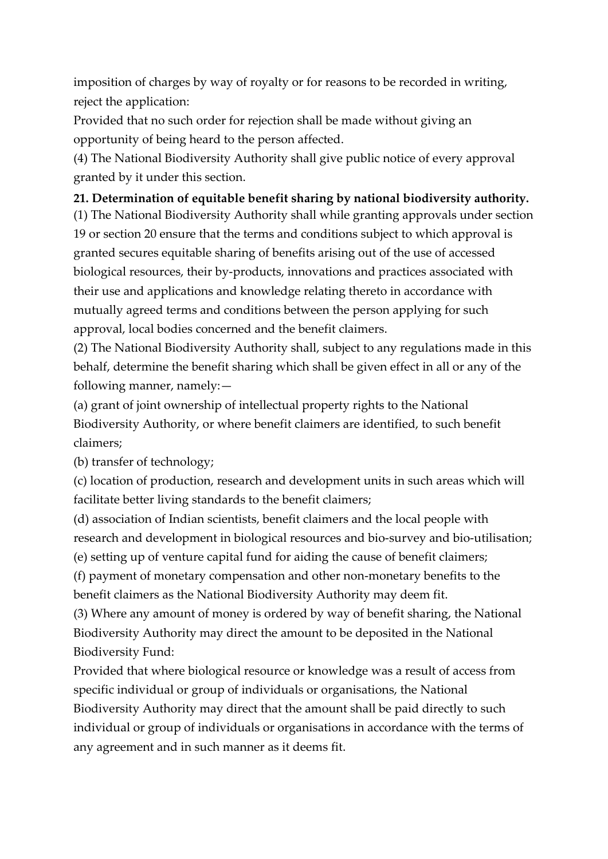imposition of charges by way of royalty or for reasons to be recorded in writing, reject the application:

Provided that no such order for rejection shall be made without giving an opportunity of being heard to the person affected.

(4) The National Biodiversity Authority shall give public notice of every approval granted by it under this section.

### **21. Determination of equitable benefit sharing by national biodiversity authority.**

(1) The National Biodiversity Authority shall while granting approvals under section 19 or section 20 ensure that the terms and conditions subject to which approval is granted secures equitable sharing of benefits arising out of the use of accessed biological resources, their by-products, innovations and practices associated with their use and applications and knowledge relating thereto in accordance with mutually agreed terms and conditions between the person applying for such approval, local bodies concerned and the benefit claimers.

(2) The National Biodiversity Authority shall, subject to any regulations made in this behalf, determine the benefit sharing which shall be given effect in all or any of the following manner, namely:—

(a) grant of joint ownership of intellectual property rights to the National Biodiversity Authority, or where benefit claimers are identified, to such benefit claimers;

(b) transfer of technology;

(c) location of production, research and development units in such areas which will facilitate better living standards to the benefit claimers;

(d) association of Indian scientists, benefit claimers and the local people with research and development in biological resources and bio-survey and bio-utilisation; (e) setting up of venture capital fund for aiding the cause of benefit claimers;

(f) payment of monetary compensation and other non-monetary benefits to the benefit claimers as the National Biodiversity Authority may deem fit.

(3) Where any amount of money is ordered by way of benefit sharing, the National Biodiversity Authority may direct the amount to be deposited in the National Biodiversity Fund:

Provided that where biological resource or knowledge was a result of access from specific individual or group of individuals or organisations, the National Biodiversity Authority may direct that the amount shall be paid directly to such individual or group of individuals or organisations in accordance with the terms of any agreement and in such manner as it deems fit.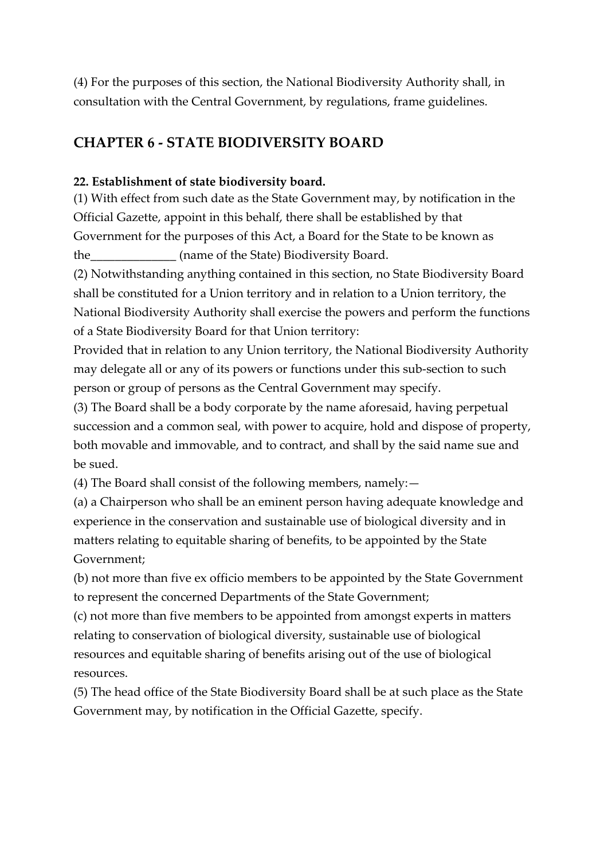(4) For the purposes of this section, the National Biodiversity Authority shall, in consultation with the Central Government, by regulations, frame guidelines.

## **CHAPTER 6 - STATE BIODIVERSITY BOARD**

#### **22. Establishment of state biodiversity board.**

(1) With effect from such date as the State Government may, by notification in the Official Gazette, appoint in this behalf, there shall be established by that Government for the purposes of this Act, a Board for the State to be known as the (name of the State) Biodiversity Board.

(2) Notwithstanding anything contained in this section, no State Biodiversity Board shall be constituted for a Union territory and in relation to a Union territory, the National Biodiversity Authority shall exercise the powers and perform the functions of a State Biodiversity Board for that Union territory:

Provided that in relation to any Union territory, the National Biodiversity Authority may delegate all or any of its powers or functions under this sub-section to such person or group of persons as the Central Government may specify.

(3) The Board shall be a body corporate by the name aforesaid, having perpetual succession and a common seal, with power to acquire, hold and dispose of property, both movable and immovable, and to contract, and shall by the said name sue and be sued.

(4) The Board shall consist of the following members, namely:—

(a) a Chairperson who shall be an eminent person having adequate knowledge and experience in the conservation and sustainable use of biological diversity and in matters relating to equitable sharing of benefits, to be appointed by the State Government;

(b) not more than five ex officio members to be appointed by the State Government to represent the concerned Departments of the State Government;

(c) not more than five members to be appointed from amongst experts in matters relating to conservation of biological diversity, sustainable use of biological resources and equitable sharing of benefits arising out of the use of biological resources.

(5) The head office of the State Biodiversity Board shall be at such place as the State Government may, by notification in the Official Gazette, specify.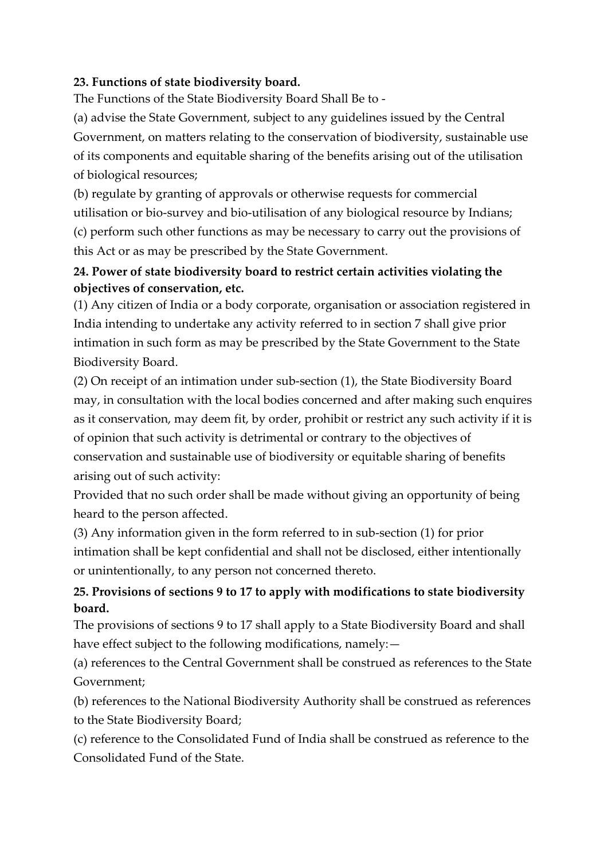#### **23. Functions of state biodiversity board.**

The Functions of the State Biodiversity Board Shall Be to -

(a) advise the State Government, subject to any guidelines issued by the Central Government, on matters relating to the conservation of biodiversity, sustainable use of its components and equitable sharing of the benefits arising out of the utilisation of biological resources;

(b) regulate by granting of approvals or otherwise requests for commercial utilisation or bio-survey and bio-utilisation of any biological resource by Indians; (c) perform such other functions as may be necessary to carry out the provisions of this Act or as may be prescribed by the State Government.

## **24. Power of state biodiversity board to restrict certain activities violating the objectives of conservation, etc.**

(1) Any citizen of India or a body corporate, organisation or association registered in India intending to undertake any activity referred to in section 7 shall give prior intimation in such form as may be prescribed by the State Government to the State Biodiversity Board.

(2) On receipt of an intimation under sub-section (1), the State Biodiversity Board may, in consultation with the local bodies concerned and after making such enquires as it conservation, may deem fit, by order, prohibit or restrict any such activity if it is of opinion that such activity is detrimental or contrary to the objectives of conservation and sustainable use of biodiversity or equitable sharing of benefits arising out of such activity:

Provided that no such order shall be made without giving an opportunity of being heard to the person affected.

(3) Any information given in the form referred to in sub-section (1) for prior intimation shall be kept confidential and shall not be disclosed, either intentionally or unintentionally, to any person not concerned thereto.

## **25. Provisions of sections 9 to 17 to apply with modifications to state biodiversity board.**

The provisions of sections 9 to 17 shall apply to a State Biodiversity Board and shall have effect subject to the following modifications, namely: —

(a) references to the Central Government shall be construed as references to the State Government;

(b) references to the National Biodiversity Authority shall be construed as references to the State Biodiversity Board;

(c) reference to the Consolidated Fund of India shall be construed as reference to the Consolidated Fund of the State.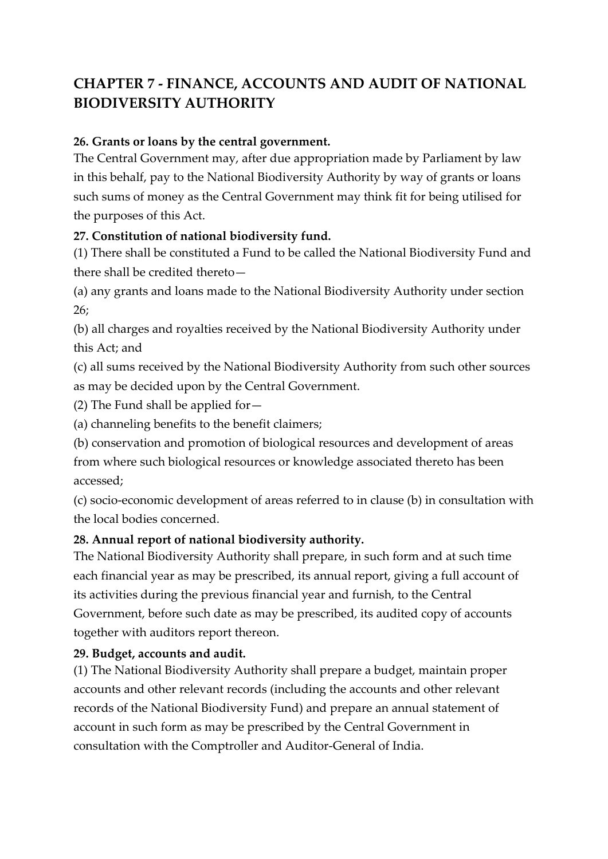# **CHAPTER 7 - FINANCE, ACCOUNTS AND AUDIT OF NATIONAL BIODIVERSITY AUTHORITY**

#### **26. Grants or loans by the central government.**

The Central Government may, after due appropriation made by Parliament by law in this behalf, pay to the National Biodiversity Authority by way of grants or loans such sums of money as the Central Government may think fit for being utilised for the purposes of this Act.

#### **27. Constitution of national biodiversity fund.**

(1) There shall be constituted a Fund to be called the National Biodiversity Fund and there shall be credited thereto—

(a) any grants and loans made to the National Biodiversity Authority under section 26;

(b) all charges and royalties received by the National Biodiversity Authority under this Act; and

(c) all sums received by the National Biodiversity Authority from such other sources as may be decided upon by the Central Government.

(2) The Fund shall be applied for—

(a) channeling benefits to the benefit claimers;

(b) conservation and promotion of biological resources and development of areas

from where such biological resources or knowledge associated thereto has been accessed;

(c) socio-economic development of areas referred to in clause (b) in consultation with the local bodies concerned.

#### **28. Annual report of national biodiversity authority.**

The National Biodiversity Authority shall prepare, in such form and at such time each financial year as may be prescribed, its annual report, giving a full account of its activities during the previous financial year and furnish, to the Central Government, before such date as may be prescribed, its audited copy of accounts together with auditors report thereon.

## **29. Budget, accounts and audit.**

(1) The National Biodiversity Authority shall prepare a budget, maintain proper accounts and other relevant records (including the accounts and other relevant records of the National Biodiversity Fund) and prepare an annual statement of account in such form as may be prescribed by the Central Government in consultation with the Comptroller and Auditor-General of India.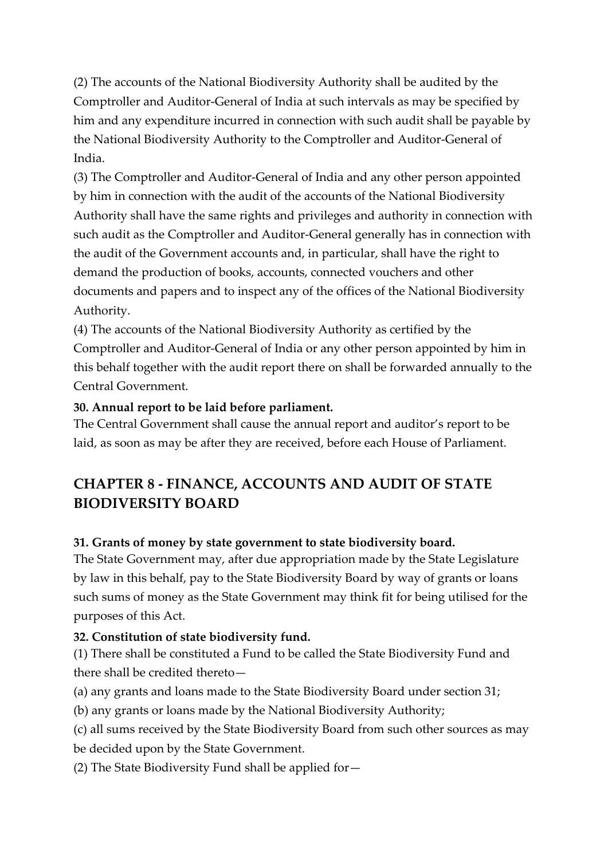(2) The accounts of the National Biodiversity Authority shall be audited by the Comptroller and Auditor-General of India at such intervals as may be specified by him and any expenditure incurred in connection with such audit shall be payable by the National Biodiversity Authority to the Comptroller and Auditor-General of India.

(3) The Comptroller and Auditor-General of India and any other person appointed by him in connection with the audit of the accounts of the National Biodiversity Authority shall have the same rights and privileges and authority in connection with such audit as the Comptroller and Auditor-General generally has in connection with the audit of the Government accounts and, in particular, shall have the right to demand the production of books, accounts, connected vouchers and other documents and papers and to inspect any of the offices of the National Biodiversity Authority.

(4) The accounts of the National Biodiversity Authority as certified by the Comptroller and Auditor-General of India or any other person appointed by him in this behalf together with the audit report there on shall be forwarded annually to the Central Government.

#### **30. Annual report to be laid before parliament.**

The Central Government shall cause the annual report and auditor's report to be laid, as soon as may be after they are received, before each House of Parliament.

## **CHAPTER 8 - FINANCE, ACCOUNTS AND AUDIT OF STATE BIODIVERSITY BOARD**

#### **31. Grants of money by state government to state biodiversity board.**

The State Government may, after due appropriation made by the State Legislature by law in this behalf, pay to the State Biodiversity Board by way of grants or loans such sums of money as the State Government may think fit for being utilised for the purposes of this Act.

#### **32. Constitution of state biodiversity fund.**

(1) There shall be constituted a Fund to be called the State Biodiversity Fund and there shall be credited thereto—

(a) any grants and loans made to the State Biodiversity Board under section 31;

(b) any grants or loans made by the National Biodiversity Authority;

(c) all sums received by the State Biodiversity Board from such other sources as may

be decided upon by the State Government.

(2) The State Biodiversity Fund shall be applied for—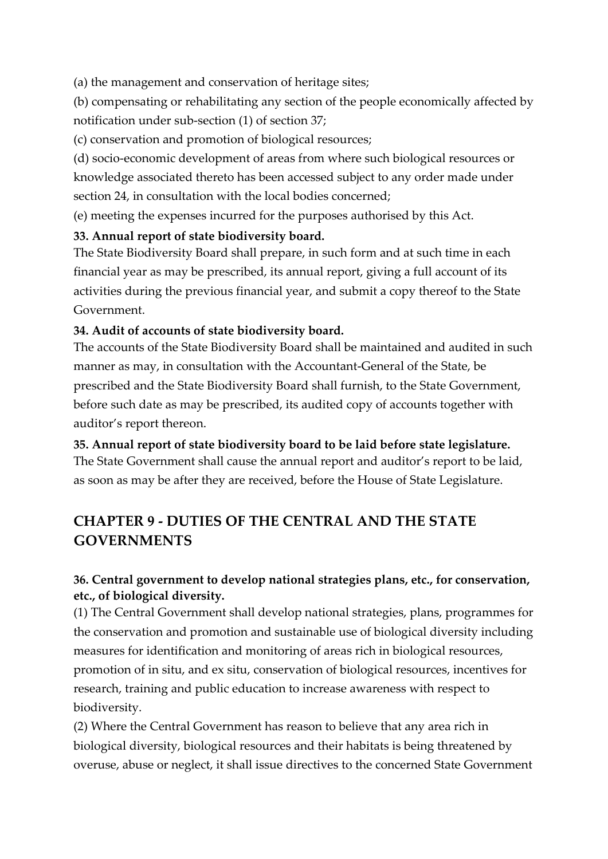(a) the management and conservation of heritage sites;

(b) compensating or rehabilitating any section of the people economically affected by notification under sub-section (1) of section 37;

(c) conservation and promotion of biological resources;

(d) socio-economic development of areas from where such biological resources or knowledge associated thereto has been accessed subject to any order made under section 24, in consultation with the local bodies concerned;

(e) meeting the expenses incurred for the purposes authorised by this Act.

## **33. Annual report of state biodiversity board.**

The State Biodiversity Board shall prepare, in such form and at such time in each financial year as may be prescribed, its annual report, giving a full account of its activities during the previous financial year, and submit a copy thereof to the State Government.

#### **34. Audit of accounts of state biodiversity board.**

The accounts of the State Biodiversity Board shall be maintained and audited in such manner as may, in consultation with the Accountant-General of the State, be prescribed and the State Biodiversity Board shall furnish, to the State Government, before such date as may be prescribed, its audited copy of accounts together with auditor's report thereon.

#### **35. Annual report of state biodiversity board to be laid before state legislature.**

The State Government shall cause the annual report and auditor's report to be laid, as soon as may be after they are received, before the House of State Legislature.

# **CHAPTER 9 - DUTIES OF THE CENTRAL AND THE STATE GOVERNMENTS**

## **36. Central government to develop national strategies plans, etc., for conservation, etc., of biological diversity.**

(1) The Central Government shall develop national strategies, plans, programmes for the conservation and promotion and sustainable use of biological diversity including measures for identification and monitoring of areas rich in biological resources, promotion of in situ, and ex situ, conservation of biological resources, incentives for research, training and public education to increase awareness with respect to biodiversity.

(2) Where the Central Government has reason to believe that any area rich in biological diversity, biological resources and their habitats is being threatened by overuse, abuse or neglect, it shall issue directives to the concerned State Government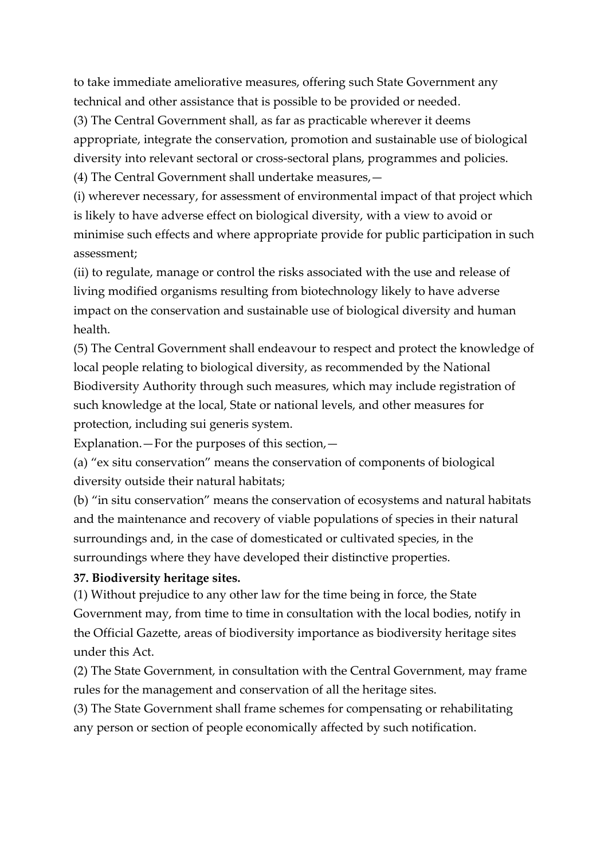to take immediate ameliorative measures, offering such State Government any technical and other assistance that is possible to be provided or needed.

(3) The Central Government shall, as far as practicable wherever it deems appropriate, integrate the conservation, promotion and sustainable use of biological diversity into relevant sectoral or cross-sectoral plans, programmes and policies. (4) The Central Government shall undertake measures,—

(i) wherever necessary, for assessment of environmental impact of that project which is likely to have adverse effect on biological diversity, with a view to avoid or minimise such effects and where appropriate provide for public participation in such

assessment;

(ii) to regulate, manage or control the risks associated with the use and release of living modified organisms resulting from biotechnology likely to have adverse impact on the conservation and sustainable use of biological diversity and human health.

(5) The Central Government shall endeavour to respect and protect the knowledge of local people relating to biological diversity, as recommended by the National Biodiversity Authority through such measures, which may include registration of such knowledge at the local, State or national levels, and other measures for protection, including sui generis system.

Explanation.—For the purposes of this section,—

(a) "ex situ conservation" means the conservation of components of biological diversity outside their natural habitats;

(b) "in situ conservation" means the conservation of ecosystems and natural habitats and the maintenance and recovery of viable populations of species in their natural surroundings and, in the case of domesticated or cultivated species, in the surroundings where they have developed their distinctive properties.

#### **37. Biodiversity heritage sites.**

(1) Without prejudice to any other law for the time being in force, the State Government may, from time to time in consultation with the local bodies, notify in the Official Gazette, areas of biodiversity importance as biodiversity heritage sites under this Act.

(2) The State Government, in consultation with the Central Government, may frame rules for the management and conservation of all the heritage sites.

(3) The State Government shall frame schemes for compensating or rehabilitating any person or section of people economically affected by such notification.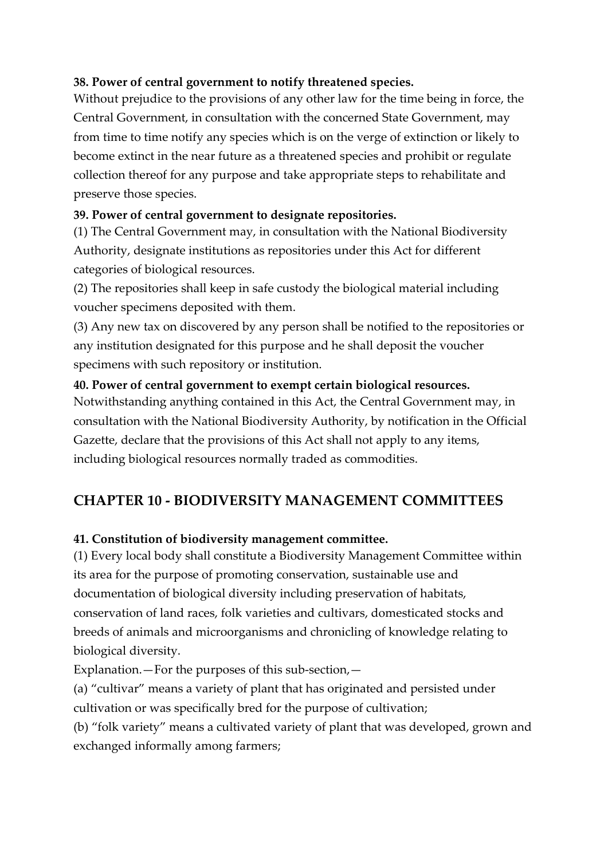#### **38. Power of central government to notify threatened species.**

Without prejudice to the provisions of any other law for the time being in force, the Central Government, in consultation with the concerned State Government, may from time to time notify any species which is on the verge of extinction or likely to become extinct in the near future as a threatened species and prohibit or regulate collection thereof for any purpose and take appropriate steps to rehabilitate and preserve those species.

## **39. Power of central government to designate repositories.**

(1) The Central Government may, in consultation with the National Biodiversity Authority, designate institutions as repositories under this Act for different categories of biological resources.

(2) The repositories shall keep in safe custody the biological material including voucher specimens deposited with them.

(3) Any new tax on discovered by any person shall be notified to the repositories or any institution designated for this purpose and he shall deposit the voucher specimens with such repository or institution.

## **40. Power of central government to exempt certain biological resources.**

Notwithstanding anything contained in this Act, the Central Government may, in consultation with the National Biodiversity Authority, by notification in the Official Gazette, declare that the provisions of this Act shall not apply to any items, including biological resources normally traded as commodities.

## **CHAPTER 10 - BIODIVERSITY MANAGEMENT COMMITTEES**

## **41. Constitution of biodiversity management committee.**

(1) Every local body shall constitute a Biodiversity Management Committee within its area for the purpose of promoting conservation, sustainable use and documentation of biological diversity including preservation of habitats, conservation of land races, folk varieties and cultivars, domesticated stocks and breeds of animals and microorganisms and chronicling of knowledge relating to biological diversity.

Explanation.—For the purposes of this sub-section,—

(a) "cultivar" means a variety of plant that has originated and persisted under cultivation or was specifically bred for the purpose of cultivation;

(b) "folk variety" means a cultivated variety of plant that was developed, grown and exchanged informally among farmers;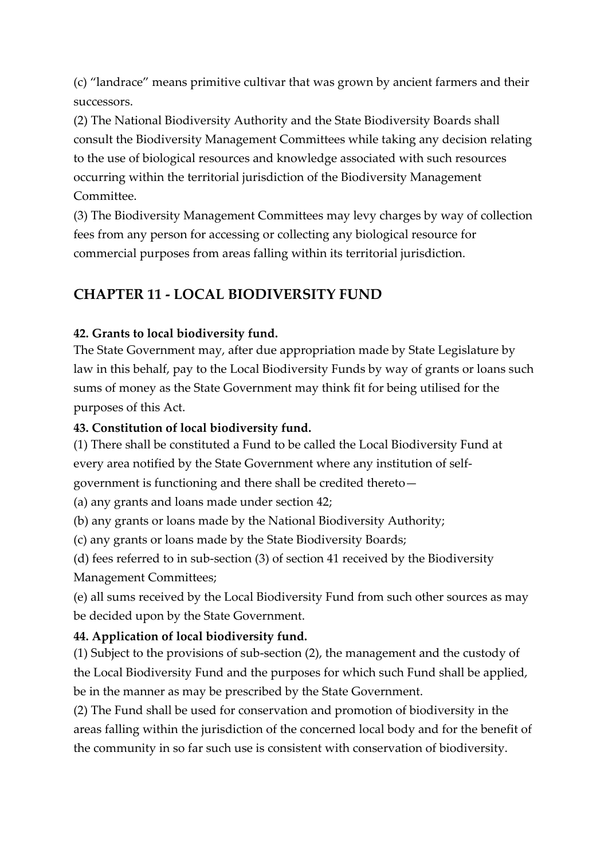(c) "landrace" means primitive cultivar that was grown by ancient farmers and their successors.

(2) The National Biodiversity Authority and the State Biodiversity Boards shall consult the Biodiversity Management Committees while taking any decision relating to the use of biological resources and knowledge associated with such resources occurring within the territorial jurisdiction of the Biodiversity Management Committee.

(3) The Biodiversity Management Committees may levy charges by way of collection fees from any person for accessing or collecting any biological resource for commercial purposes from areas falling within its territorial jurisdiction.

## **CHAPTER 11 - LOCAL BIODIVERSITY FUND**

#### **42. Grants to local biodiversity fund.**

The State Government may, after due appropriation made by State Legislature by law in this behalf, pay to the Local Biodiversity Funds by way of grants or loans such sums of money as the State Government may think fit for being utilised for the purposes of this Act.

#### **43. Constitution of local biodiversity fund.**

(1) There shall be constituted a Fund to be called the Local Biodiversity Fund at every area notified by the State Government where any institution of selfgovernment is functioning and there shall be credited thereto—

(a) any grants and loans made under section 42;

(b) any grants or loans made by the National Biodiversity Authority;

(c) any grants or loans made by the State Biodiversity Boards;

(d) fees referred to in sub-section (3) of section 41 received by the Biodiversity Management Committees;

(e) all sums received by the Local Biodiversity Fund from such other sources as may be decided upon by the State Government.

## **44. Application of local biodiversity fund.**

(1) Subject to the provisions of sub-section (2), the management and the custody of the Local Biodiversity Fund and the purposes for which such Fund shall be applied, be in the manner as may be prescribed by the State Government.

(2) The Fund shall be used for conservation and promotion of biodiversity in the areas falling within the jurisdiction of the concerned local body and for the benefit of the community in so far such use is consistent with conservation of biodiversity.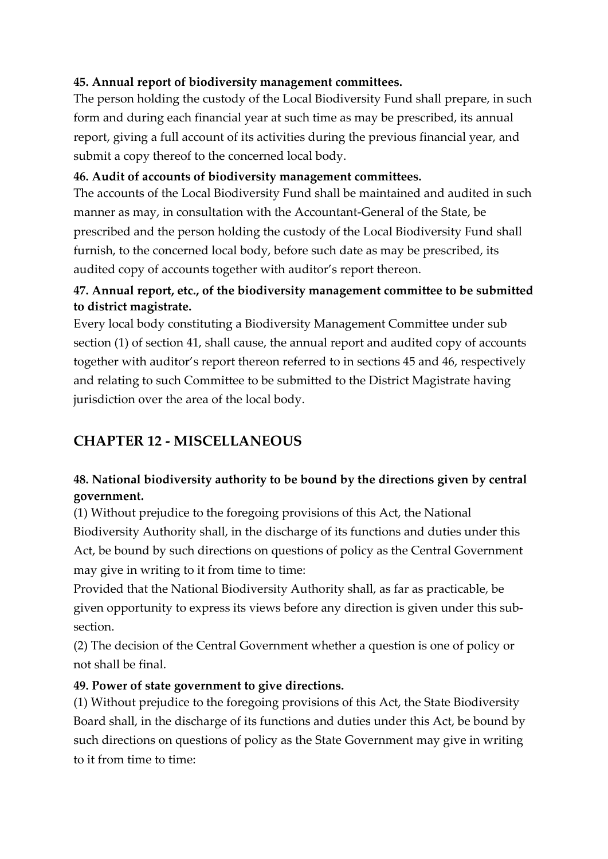## **45. Annual report of biodiversity management committees.**

The person holding the custody of the Local Biodiversity Fund shall prepare, in such form and during each financial year at such time as may be prescribed, its annual report, giving a full account of its activities during the previous financial year, and submit a copy thereof to the concerned local body.

#### **46. Audit of accounts of biodiversity management committees.**

The accounts of the Local Biodiversity Fund shall be maintained and audited in such manner as may, in consultation with the Accountant-General of the State, be prescribed and the person holding the custody of the Local Biodiversity Fund shall furnish, to the concerned local body, before such date as may be prescribed, its audited copy of accounts together with auditor's report thereon.

## **47. Annual report, etc., of the biodiversity management committee to be submitted to district magistrate.**

Every local body constituting a Biodiversity Management Committee under sub section (1) of section 41, shall cause, the annual report and audited copy of accounts together with auditor's report thereon referred to in sections 45 and 46, respectively and relating to such Committee to be submitted to the District Magistrate having jurisdiction over the area of the local body.

## **CHAPTER 12 - MISCELLANEOUS**

## **48. National biodiversity authority to be bound by the directions given by central government.**

(1) Without prejudice to the foregoing provisions of this Act, the National Biodiversity Authority shall, in the discharge of its functions and duties under this Act, be bound by such directions on questions of policy as the Central Government may give in writing to it from time to time:

Provided that the National Biodiversity Authority shall, as far as practicable, be given opportunity to express its views before any direction is given under this subsection.

(2) The decision of the Central Government whether a question is one of policy or not shall be final.

#### **49. Power of state government to give directions.**

(1) Without prejudice to the foregoing provisions of this Act, the State Biodiversity Board shall, in the discharge of its functions and duties under this Act, be bound by such directions on questions of policy as the State Government may give in writing to it from time to time: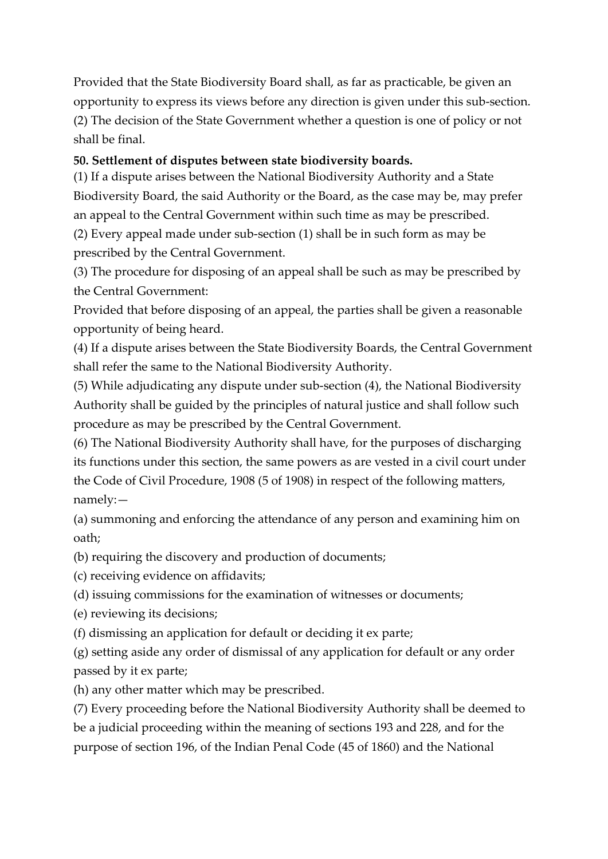Provided that the State Biodiversity Board shall, as far as practicable, be given an opportunity to express its views before any direction is given under this sub-section. (2) The decision of the State Government whether a question is one of policy or not shall be final.

#### **50. Settlement of disputes between state biodiversity boards.**

(1) If a dispute arises between the National Biodiversity Authority and a State Biodiversity Board, the said Authority or the Board, as the case may be, may prefer an appeal to the Central Government within such time as may be prescribed.

(2) Every appeal made under sub-section (1) shall be in such form as may be prescribed by the Central Government.

(3) The procedure for disposing of an appeal shall be such as may be prescribed by the Central Government:

Provided that before disposing of an appeal, the parties shall be given a reasonable opportunity of being heard.

(4) If a dispute arises between the State Biodiversity Boards, the Central Government shall refer the same to the National Biodiversity Authority.

(5) While adjudicating any dispute under sub-section (4), the National Biodiversity Authority shall be guided by the principles of natural justice and shall follow such procedure as may be prescribed by the Central Government.

(6) The National Biodiversity Authority shall have, for the purposes of discharging its functions under this section, the same powers as are vested in a civil court under the Code of Civil Procedure, 1908 (5 of 1908) in respect of the following matters, namely:—

(a) summoning and enforcing the attendance of any person and examining him on oath;

(b) requiring the discovery and production of documents;

(c) receiving evidence on affidavits;

(d) issuing commissions for the examination of witnesses or documents;

(e) reviewing its decisions;

(f) dismissing an application for default or deciding it ex parte;

(g) setting aside any order of dismissal of any application for default or any order passed by it ex parte;

(h) any other matter which may be prescribed.

(7) Every proceeding before the National Biodiversity Authority shall be deemed to be a judicial proceeding within the meaning of sections 193 and 228, and for the purpose of section 196, of the Indian Penal Code (45 of 1860) and the National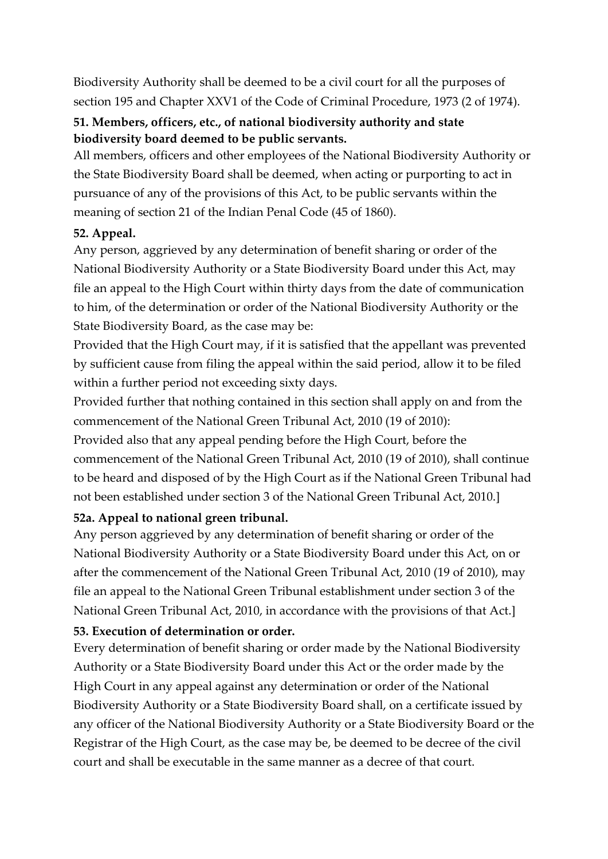Biodiversity Authority shall be deemed to be a civil court for all the purposes of section 195 and Chapter XXV1 of the Code of Criminal Procedure, 1973 (2 of 1974).

## **51. Members, officers, etc., of national biodiversity authority and state biodiversity board deemed to be public servants.**

All members, officers and other employees of the National Biodiversity Authority or the State Biodiversity Board shall be deemed, when acting or purporting to act in pursuance of any of the provisions of this Act, to be public servants within the meaning of section 21 of the Indian Penal Code (45 of 1860).

## **52. Appeal.**

Any person, aggrieved by any determination of benefit sharing or order of the National Biodiversity Authority or a State Biodiversity Board under this Act, may file an appeal to the High Court within thirty days from the date of communication to him, of the determination or order of the National Biodiversity Authority or the State Biodiversity Board, as the case may be:

Provided that the High Court may, if it is satisfied that the appellant was prevented by sufficient cause from filing the appeal within the said period, allow it to be filed within a further period not exceeding sixty days.

Provided further that nothing contained in this section shall apply on and from the commencement of the National Green Tribunal Act, 2010 (19 of 2010):

Provided also that any appeal pending before the High Court, before the commencement of the National Green Tribunal Act, 2010 (19 of 2010), shall continue to be heard and disposed of by the High Court as if the National Green Tribunal had not been established under section 3 of the National Green Tribunal Act, 2010.]

## **52a. Appeal to national green tribunal.**

Any person aggrieved by any determination of benefit sharing or order of the National Biodiversity Authority or a State Biodiversity Board under this Act, on or after the commencement of the National Green Tribunal Act, 2010 (19 of 2010), may file an appeal to the National Green Tribunal establishment under section 3 of the National Green Tribunal Act, 2010, in accordance with the provisions of that Act.]

#### **53. Execution of determination or order.**

Every determination of benefit sharing or order made by the National Biodiversity Authority or a State Biodiversity Board under this Act or the order made by the High Court in any appeal against any determination or order of the National Biodiversity Authority or a State Biodiversity Board shall, on a certificate issued by any officer of the National Biodiversity Authority or a State Biodiversity Board or the Registrar of the High Court, as the case may be, be deemed to be decree of the civil court and shall be executable in the same manner as a decree of that court.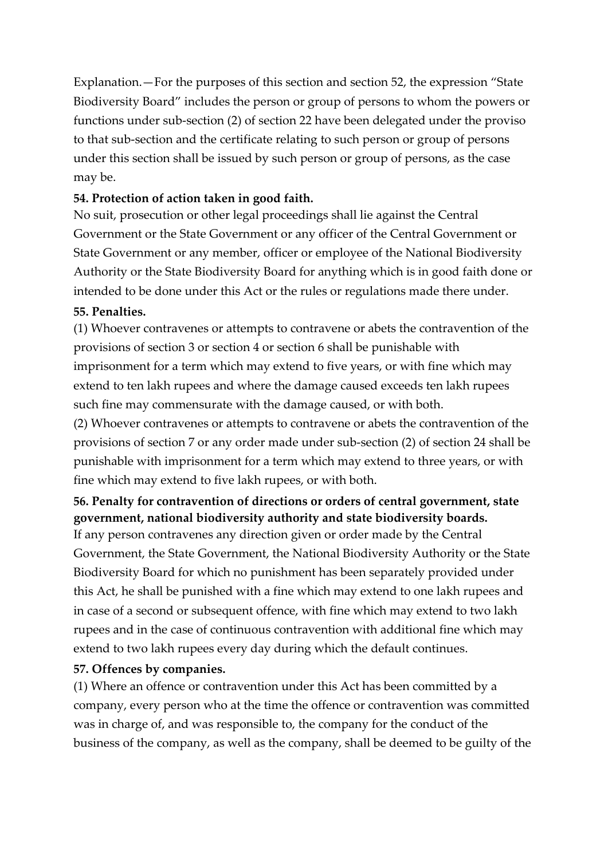Explanation.—For the purposes of this section and section 52, the expression "State Biodiversity Board" includes the person or group of persons to whom the powers or functions under sub-section (2) of section 22 have been delegated under the proviso to that sub-section and the certificate relating to such person or group of persons under this section shall be issued by such person or group of persons, as the case may be.

#### **54. Protection of action taken in good faith.**

No suit, prosecution or other legal proceedings shall lie against the Central Government or the State Government or any officer of the Central Government or State Government or any member, officer or employee of the National Biodiversity Authority or the State Biodiversity Board for anything which is in good faith done or intended to be done under this Act or the rules or regulations made there under.

#### **55. Penalties.**

(1) Whoever contravenes or attempts to contravene or abets the contravention of the provisions of section 3 or section 4 or section 6 shall be punishable with imprisonment for a term which may extend to five years, or with fine which may extend to ten lakh rupees and where the damage caused exceeds ten lakh rupees such fine may commensurate with the damage caused, or with both.

(2) Whoever contravenes or attempts to contravene or abets the contravention of the provisions of section 7 or any order made under sub-section (2) of section 24 shall be punishable with imprisonment for a term which may extend to three years, or with fine which may extend to five lakh rupees, or with both.

# **56. Penalty for contravention of directions or orders of central government, state government, national biodiversity authority and state biodiversity boards.**

If any person contravenes any direction given or order made by the Central Government, the State Government, the National Biodiversity Authority or the State Biodiversity Board for which no punishment has been separately provided under this Act, he shall be punished with a fine which may extend to one lakh rupees and in case of a second or subsequent offence, with fine which may extend to two lakh rupees and in the case of continuous contravention with additional fine which may extend to two lakh rupees every day during which the default continues.

#### **57. Offences by companies.**

(1) Where an offence or contravention under this Act has been committed by a company, every person who at the time the offence or contravention was committed was in charge of, and was responsible to, the company for the conduct of the business of the company, as well as the company, shall be deemed to be guilty of the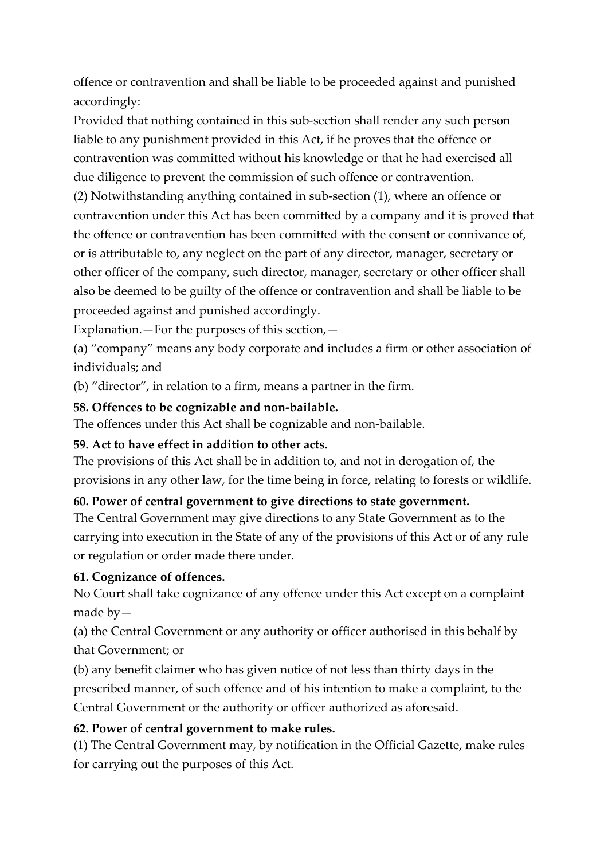offence or contravention and shall be liable to be proceeded against and punished accordingly:

Provided that nothing contained in this sub-section shall render any such person liable to any punishment provided in this Act, if he proves that the offence or contravention was committed without his knowledge or that he had exercised all due diligence to prevent the commission of such offence or contravention.

(2) Notwithstanding anything contained in sub-section (1), where an offence or contravention under this Act has been committed by a company and it is proved that the offence or contravention has been committed with the consent or connivance of, or is attributable to, any neglect on the part of any director, manager, secretary or other officer of the company, such director, manager, secretary or other officer shall also be deemed to be guilty of the offence or contravention and shall be liable to be proceeded against and punished accordingly.

Explanation.—For the purposes of this section,—

(a) "company" means any body corporate and includes a firm or other association of individuals; and

(b) "director", in relation to a firm, means a partner in the firm.

#### **58. Offences to be cognizable and non-bailable.**

The offences under this Act shall be cognizable and non-bailable.

## **59. Act to have effect in addition to other acts.**

The provisions of this Act shall be in addition to, and not in derogation of, the provisions in any other law, for the time being in force, relating to forests or wildlife.

#### **60. Power of central government to give directions to state government.**

The Central Government may give directions to any State Government as to the carrying into execution in the State of any of the provisions of this Act or of any rule or regulation or order made there under.

#### **61. Cognizance of offences.**

No Court shall take cognizance of any offence under this Act except on a complaint made by—

(a) the Central Government or any authority or officer authorised in this behalf by that Government; or

(b) any benefit claimer who has given notice of not less than thirty days in the prescribed manner, of such offence and of his intention to make a complaint, to the Central Government or the authority or officer authorized as aforesaid.

## **62. Power of central government to make rules.**

(1) The Central Government may, by notification in the Official Gazette, make rules for carrying out the purposes of this Act.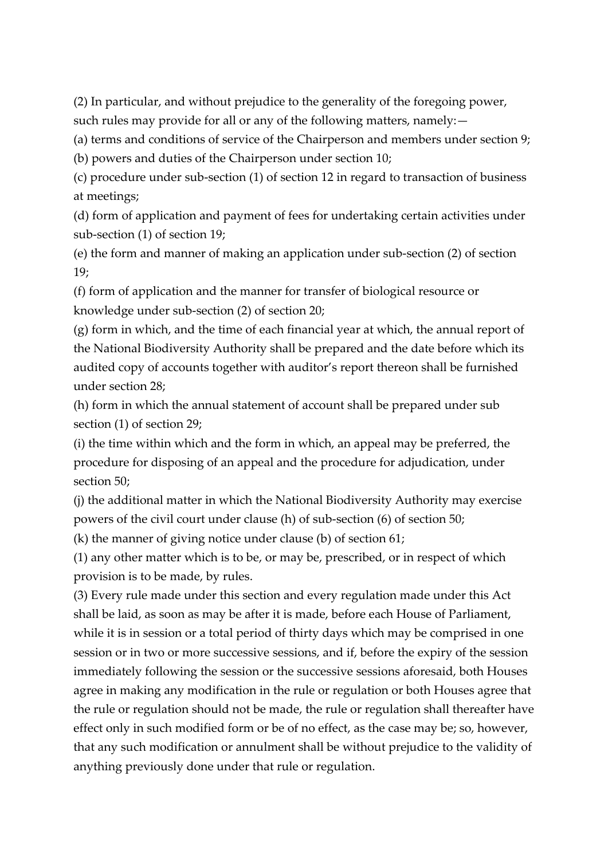(2) In particular, and without prejudice to the generality of the foregoing power, such rules may provide for all or any of the following matters, namely:—

(a) terms and conditions of service of the Chairperson and members under section 9;

(b) powers and duties of the Chairperson under section 10;

(c) procedure under sub-section (1) of section 12 in regard to transaction of business at meetings;

(d) form of application and payment of fees for undertaking certain activities under sub-section (1) of section 19;

(e) the form and manner of making an application under sub-section (2) of section 19;

(f) form of application and the manner for transfer of biological resource or knowledge under sub-section (2) of section 20;

(g) form in which, and the time of each financial year at which, the annual report of the National Biodiversity Authority shall be prepared and the date before which its audited copy of accounts together with auditor's report thereon shall be furnished under section 28;

(h) form in which the annual statement of account shall be prepared under sub section (1) of section 29;

(i) the time within which and the form in which, an appeal may be preferred, the procedure for disposing of an appeal and the procedure for adjudication, under section 50;

(j) the additional matter in which the National Biodiversity Authority may exercise powers of the civil court under clause (h) of sub-section (6) of section 50;

(k) the manner of giving notice under clause (b) of section 61;

(1) any other matter which is to be, or may be, prescribed, or in respect of which provision is to be made, by rules.

(3) Every rule made under this section and every regulation made under this Act shall be laid, as soon as may be after it is made, before each House of Parliament, while it is in session or a total period of thirty days which may be comprised in one session or in two or more successive sessions, and if, before the expiry of the session immediately following the session or the successive sessions aforesaid, both Houses agree in making any modification in the rule or regulation or both Houses agree that the rule or regulation should not be made, the rule or regulation shall thereafter have effect only in such modified form or be of no effect, as the case may be; so, however, that any such modification or annulment shall be without prejudice to the validity of anything previously done under that rule or regulation.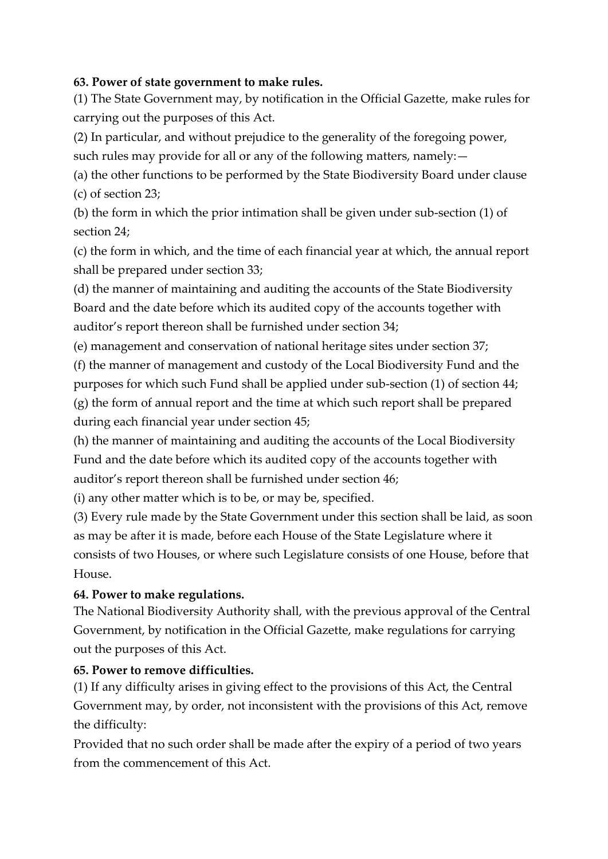#### **63. Power of state government to make rules.**

(1) The State Government may, by notification in the Official Gazette, make rules for carrying out the purposes of this Act.

(2) In particular, and without prejudice to the generality of the foregoing power,

such rules may provide for all or any of the following matters, namely:—

(a) the other functions to be performed by the State Biodiversity Board under clause (c) of section 23;

(b) the form in which the prior intimation shall be given under sub-section (1) of section 24;

(c) the form in which, and the time of each financial year at which, the annual report shall be prepared under section 33;

(d) the manner of maintaining and auditing the accounts of the State Biodiversity Board and the date before which its audited copy of the accounts together with auditor's report thereon shall be furnished under section 34;

(e) management and conservation of national heritage sites under section 37;

(f) the manner of management and custody of the Local Biodiversity Fund and the purposes for which such Fund shall be applied under sub-section (1) of section 44; (g) the form of annual report and the time at which such report shall be prepared during each financial year under section 45;

(h) the manner of maintaining and auditing the accounts of the Local Biodiversity Fund and the date before which its audited copy of the accounts together with auditor's report thereon shall be furnished under section 46;

(i) any other matter which is to be, or may be, specified.

(3) Every rule made by the State Government under this section shall be laid, as soon as may be after it is made, before each House of the State Legislature where it consists of two Houses, or where such Legislature consists of one House, before that House.

## **64. Power to make regulations.**

The National Biodiversity Authority shall, with the previous approval of the Central Government, by notification in the Official Gazette, make regulations for carrying out the purposes of this Act.

## **65. Power to remove difficulties.**

(1) If any difficulty arises in giving effect to the provisions of this Act, the Central Government may, by order, not inconsistent with the provisions of this Act, remove the difficulty:

Provided that no such order shall be made after the expiry of a period of two years from the commencement of this Act.